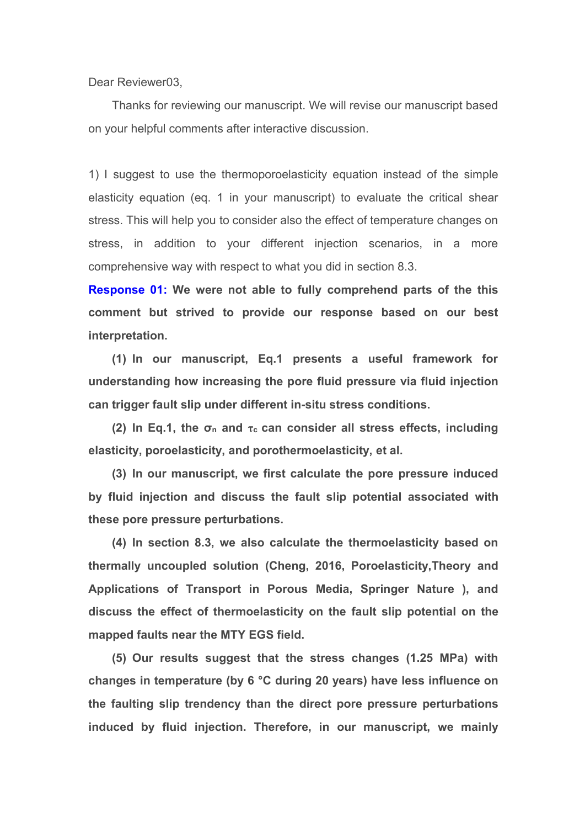Dear Reviewer03,

Thanks for reviewing our manuscript. We will revise our manuscript based on your helpful comments after interactive discussion.<br>1) I suggest to use the thermoporoelasticity equation instead of the simple

elasticity equation (eq. 1 in your manuscript) to evaluate the critical shear stress. This will help you to consider also the effect of temperature changes on stress, in addition to your different injection scenarios, in a more comprehensive way with respect to what you did in section 8.3.

**Response 01: We were not able to fully comprehend parts of the this comment but strived to provide our response based on our best interpretation.**

**(1) In our manuscript, Eq.1 presents a useful framework for understanding how increasing the pore fluid pressure via fluid injection can trigger fault slip under different in-situ stress conditions.**

**(2) In Eq.1, the σ<sup>n</sup> and τ<sup>c</sup> can consider all stress effects, including elasticity, poroelasticity, and porothermoelasticity, et al.**

**(3) In our manuscript, we first calculate the pore pressure induced by fluid injection and discuss the fault slip potential associated with these pore pressure perturbations.**

**(4) In section 8.3, we also calculate the thermoelasticity based on thermally uncoupled solution (Cheng, 2016, Poroelasticity,Theory and Applications of Transport in Porous Media, Springer Nature ), and discuss the effect of thermoelasticity on the fault slip potential on the mapped faults near the MTY EGS field.**

**(5) Our results suggest that the stress changes (1.25 MPa) with changes in temperature (by 6 °C during 20 years) have less influence on the faulting slip trendency than the direct pore pressure perturbations induced by fluid injection. Therefore, in our manuscript, we mainly**